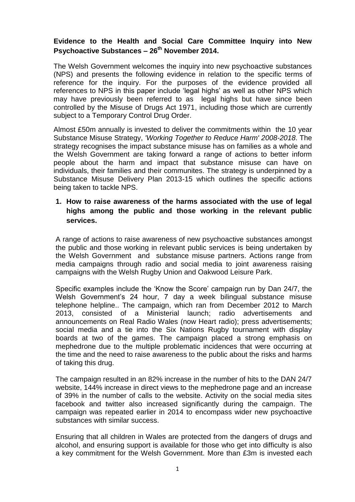# **Evidence to the Health and Social Care Committee Inquiry into New Psychoactive Substances – 26th November 2014.**

The Welsh Government welcomes the inquiry into new psychoactive substances (NPS) and presents the following evidence in relation to the specific terms of reference for the inquiry. For the purposes of the evidence provided all references to NPS in this paper include 'legal highs' as well as other NPS which may have previously been referred to as legal highs but have since been controlled by the Misuse of Drugs Act 1971, including those which are currently subject to a Temporary Control Drug Order.

Almost £50m annually is invested to deliver the commitments within the 10 year Substance Misuse Strategy, *'Working Together to Reduce Harm' 2008-2018*. The strategy recognises the impact substance misuse has on families as a whole and the Welsh Government are taking forward a range of actions to better inform people about the harm and impact that substance misuse can have on individuals, their families and their communites. The strategy is underpinned by a Substance Misuse Delivery Plan 2013-15 which outlines the specific actions being taken to tackle NPS.

# **1. How to raise awareness of the harms associated with the use of legal highs among the public and those working in the relevant public services.**

A range of actions to raise awareness of new psychoactive substances amongst the public and those working in relevant public services is being undertaken by the Welsh Government and substance misuse partners. Actions range from media campaigns through radio and social media to joint awareness raising campaigns with the Welsh Rugby Union and Oakwood Leisure Park.

Specific examples include the 'Know the Score' campaign run by Dan 24/7, the Welsh Government's 24 hour, 7 day a week bilingual substance misuse telephone helpline.. The campaign, which ran from December 2012 to March 2013, consisted of a Ministerial launch; radio advertisements and announcements on Real Radio Wales (now Heart radio); press advertisements; social media and a tie into the Six Nations Rugby tournament with display boards at two of the games. The campaign placed a strong emphasis on mephedrone due to the multiple problematic incidences that were occurring at the time and the need to raise awareness to the public about the risks and harms of taking this drug.

The campaign resulted in an 82% increase in the number of hits to the DAN 24/7 website, 144% increase in direct views to the mephedrone page and an increase of 39% in the number of calls to the website. Activity on the social media sites facebook and twitter also increased significantly during the campaign. The campaign was repeated earlier in 2014 to encompass wider new psychoactive substances with similar success.

Ensuring that all children in Wales are protected from the dangers of drugs and alcohol, and ensuring support is available for those who get into difficulty is also a key commitment for the Welsh Government. More than £3m is invested each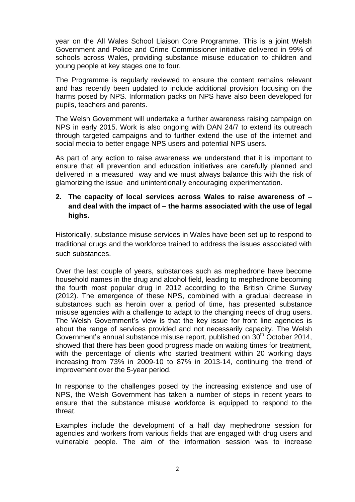year on the All Wales School Liaison Core Programme. This is a joint Welsh Government and Police and Crime Commissioner initiative delivered in 99% of schools across Wales, providing substance misuse education to children and young people at key stages one to four.

The Programme is regularly reviewed to ensure the content remains relevant and has recently been updated to include additional provision focusing on the harms posed by NPS. Information packs on NPS have also been developed for pupils, teachers and parents.

The Welsh Government will undertake a further awareness raising campaign on NPS in early 2015. Work is also ongoing with DAN 24/7 to extend its outreach through targeted campaigns and to further extend the use of the internet and social media to better engage NPS users and potential NPS users.

As part of any action to raise awareness we understand that it is important to ensure that all prevention and education initiatives are carefully planned and delivered in a measured way and we must always balance this with the risk of glamorizing the issue and unintentionally encouraging experimentation.

## **2. The capacity of local services across Wales to raise awareness of – and deal with the impact of – the harms associated with the use of legal highs.**

Historically, substance misuse services in Wales have been set up to respond to traditional drugs and the workforce trained to address the issues associated with such substances.

Over the last couple of years, substances such as mephedrone have become household names in the drug and alcohol field, leading to mephedrone becoming the fourth most popular drug in 2012 according to the British Crime Survey (2012). The emergence of these NPS, combined with a gradual decrease in substances such as heroin over a period of time, has presented substance misuse agencies with a challenge to adapt to the changing needs of drug users. The Welsh Government's view is that the key issue for front line agencies is about the range of services provided and not necessarily capacity. The Welsh Government's annual substance misuse report, published on  $30<sup>th</sup>$  October 2014, showed that there has been good progress made on waiting times for treatment, with the percentage of clients who started treatment within 20 working days increasing from 73% in 2009-10 to 87% in 2013-14, continuing the trend of improvement over the 5-year period.

In response to the challenges posed by the increasing existence and use of NPS, the Welsh Government has taken a number of steps in recent years to ensure that the substance misuse workforce is equipped to respond to the threat.

Examples include the development of a half day mephedrone session for agencies and workers from various fields that are engaged with drug users and vulnerable people. The aim of the information session was to increase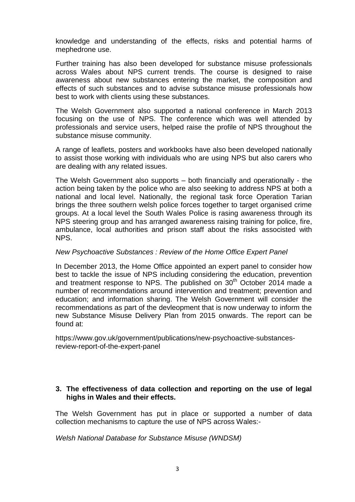knowledge and understanding of the effects, risks and potential harms of mephedrone use.

Further training has also been developed for substance misuse professionals across Wales about NPS current trends. The course is designed to raise awareness about new substances entering the market, the composition and effects of such substances and to advise substance misuse professionals how best to work with clients using these substances.

The Welsh Government also supported a national conference in March 2013 focusing on the use of NPS. The conference which was well attended by professionals and service users, helped raise the profile of NPS throughout the substance misuse community.

A range of leaflets, posters and workbooks have also been developed nationally to assist those working with individuals who are using NPS but also carers who are dealing with any related issues.

The Welsh Government also supports – both financially and operationally - the action being taken by the police who are also seeking to address NPS at both a national and local level. Nationally, the regional task force Operation Tarian brings the three southern welsh police forces together to target organised crime groups. At a local level the South Wales Police is rasing awareness through its NPS steering group and has arranged awareness raising training for police, fire, ambulance, local authorities and prison staff about the risks associsted with NPS.

#### *New Psychoactive Substances : Review of the Home Office Expert Panel*

In December 2013, the Home Office appointed an expert panel to consider how best to tackle the issue of NPS including considering the education, prevention and treatment response to NPS. The published on  $30<sup>th</sup>$  October 2014 made a number of recommendations around intervention and treatment; prevention and education; and information sharing. The Welsh Government will consider the recommendations as part of the devleopment that is now underway to inform the new Substance Misuse Delivery Plan from 2015 onwards. The report can be found at:

[https://www.gov.uk/government/publications/new-psychoactive-substances](https://www.gov.uk/government/publications/new-psychoactive-substances-review-report-of-the-expert-panel)[review-report-of-the-expert-panel](https://www.gov.uk/government/publications/new-psychoactive-substances-review-report-of-the-expert-panel)

### **3. The effectiveness of data collection and reporting on the use of legal highs in Wales and their effects.**

The Welsh Government has put in place or supported a number of data collection mechanisms to capture the use of NPS across Wales:-

*Welsh National Database for Substance Misuse (WNDSM)*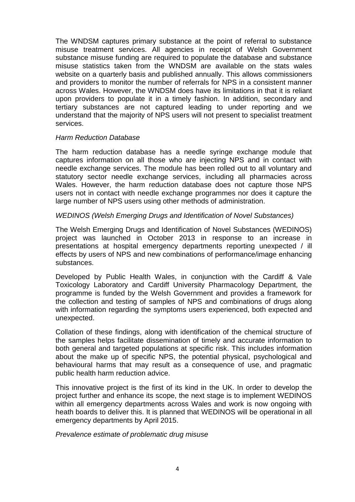The WNDSM captures primary substance at the point of referral to substance misuse treatment services. All agencies in receipt of Welsh Government substance misuse funding are required to populate the database and substance misuse statistics taken from the WNDSM are available on the stats wales website on a quarterly basis and published annually. This allows commissioners and providers to monitor the number of referrals for NPS in a consistent manner across Wales. However, the WNDSM does have its limitations in that it is reliant upon providers to populate it in a timely fashion. In addition, secondary and tertiary substances are not captured leading to under reporting and we understand that the majority of NPS users will not present to specialist treatment services.

#### *Harm Reduction Database*

The harm reduction database has a needle syringe exchange module that captures information on all those who are injecting NPS and in contact with needle exchange services. The module has been rolled out to all voluntary and statutory sector needle exchange services, including all pharmacies across Wales. However, the harm reduction database does not capture those NPS users not in contact with needle exchange programmes nor does it capture the large number of NPS users using other methods of administration.

### *WEDINOS (Welsh Emerging Drugs and Identification of Novel Substances)*

The Welsh Emerging Drugs and Identification of Novel Substances (WEDINOS) project was launched in October 2013 in response to an increase in presentations at hospital emergency departments reporting unexpected / ill effects by users of NPS and new combinations of performance/image enhancing substances.

Developed by Public Health Wales, in conjunction with the Cardiff & Vale Toxicology Laboratory and Cardiff University Pharmacology Department, the programme is funded by the Welsh Government and provides a framework for the collection and testing of samples of NPS and combinations of drugs along with information regarding the symptoms users experienced, both expected and unexpected.

Collation of these findings, along with identification of the chemical structure of the samples helps facilitate dissemination of timely and accurate information to both general and targeted populations at specific risk. This includes information about the make up of specific NPS, the potential physical, psychological and behavioural harms that may result as a consequence of use, and pragmatic public health harm reduction advice.

This innovative project is the first of its kind in the UK. In order to develop the project further and enhance its scope, the next stage is to implement WEDINOS within all emergency departments across Wales and work is now ongoing with heath boards to deliver this. It is planned that WEDINOS will be operational in all emergency departments by April 2015.

*Prevalence estimate of problematic drug misuse*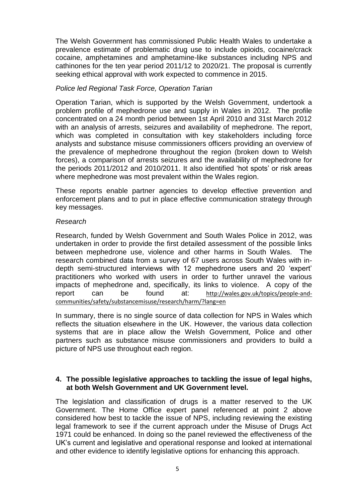The Welsh Government has commissioned Public Health Wales to undertake a prevalence estimate of problematic drug use to include opioids, cocaine/crack cocaine, amphetamines and amphetamine-like substances including NPS and cathinones for the ten year period 2011/12 to 2020/21. The proposal is currently seeking ethical approval with work expected to commence in 2015.

### *Police led Regional Task Force, Operation Tarian*

Operation Tarian, which is supported by the Welsh Government, undertook a problem profile of mephedrone use and supply in Wales in 2012. The profile concentrated on a 24 month period between 1st April 2010 and 31st March 2012 with an analysis of arrests, seizures and availability of mephedrone. The report, which was completed in consultation with key stakeholders including force analysts and substance misuse commissioners officers providing an overview of the prevalence of mephedrone throughout the region (broken down to Welsh forces), a comparison of arrests seizures and the availability of mephedrone for the periods 2011/2012 and 2010/2011. It also identified 'hot spots' or risk areas where mephedrone was most prevalent within the Wales region.

These reports enable partner agencies to develop effective prevention and enforcement plans and to put in place effective communication strategy through key messages.

### *Research*

Research, funded by Welsh Government and South Wales Police in 2012, was undertaken in order to provide the first detailed assessment of the possible links between mephedrone use, violence and other harms in South Wales. The research combined data from a survey of 67 users across South Wales with indepth semi-structured interviews with 12 mephedrone users and 20 'expert' practitioners who worked with users in order to further unravel the various impacts of mephedrone and, specifically, its links to violence. A copy of the report can be found at: http://wales.gov.uk/topics/people-andcommunities/safety/substancemisuse/research/harm/?lang=en

In summary, there is no single source of data collection for NPS in Wales which reflects the situation elsewhere in the UK. However, the various data collection systems that are in place allow the Welsh Government, Police and other partners such as substance misuse commissioners and providers to build a picture of NPS use throughout each region.

### **4. The possible legislative approaches to tackling the issue of legal highs, at both Welsh Government and UK Government level.**

The legislation and classification of drugs is a matter reserved to the UK Government. The Home Office expert panel referenced at point 2 above considered how best to tackle the issue of NPS, including reviewing the existing legal framework to see if the current approach under the Misuse of Drugs Act 1971 could be enhanced. In doing so the panel reviewed the effectiveness of the UK's current and legislative and operational response and looked at international and other evidence to identify legislative options for enhancing this approach.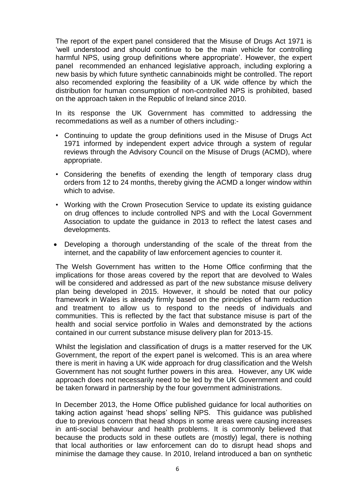The report of the expert panel considered that the Misuse of Drugs Act 1971 is 'well understood and should continue to be the main vehicle for controlling harmful NPS, using group definitions where appropriate'. However, the expert panel recommended an enhanced legislative approach, including exploring a new basis by which future synthetic cannabinoids might be controlled. The report also recomended exploring the feasibility of a UK wide offence by which the distribution for human consumption of non-controlled NPS is prohibited, based on the approach taken in the Republic of Ireland since 2010.

In its response the UK Government has committed to addressing the recommedations as well as a number of others including:-

- Continuing to update the group definitions used in the Misuse of Drugs Act 1971 informed by independent expert advice through a system of regular reviews through the Advisory Council on the Misuse of Drugs (ACMD), where appropriate.
- Considering the benefits of exending the length of temporary class drug orders from 12 to 24 months, thereby giving the ACMD a longer window within which to advise.
- Working with the Crown Prosecution Service to update its existing guidance on drug offences to include controlled NPS and with the Local Government Association to update the guidance in 2013 to reflect the latest cases and developments.
- Developing a thorough understanding of the scale of the threat from the internet, and the capability of law enforcement agencies to counter it.

The Welsh Government has written to the Home Office confirming that the implications for those areas covered by the report that are devolved to Wales will be considered and addressed as part of the new substance misuse delivery plan being developed in 2015. However, it should be noted that our policy framework in Wales is already firmly based on the principles of harm reduction and treatment to allow us to respond to the needs of individuals and communities. This is reflected by the fact that substance misuse is part of the health and social service portfolio in Wales and demonstrated by the actions contained in our current substance misuse delivery plan for 2013-15.

Whilst the legislation and classification of drugs is a matter reserved for the UK Government, the report of the expert panel is welcomed. This is an area where there is merit in having a UK wide approach for drug classification and the Welsh Government has not sought further powers in this area. However, any UK wide approach does not necessarily need to be led by the UK Government and could be taken forward in partnership by the four government administrations.

In December 2013, the Home Office published guidance for local authorities on taking action against 'head shops' selling NPS. This guidance was published due to previous concern that head shops in some areas were causing increases in anti-social behaviour and health problems. It is commonly believed that because the products sold in these outlets are (mostly) legal, there is nothing that local authorities or law enforcement can do to disrupt head shops and minimise the damage they cause. In 2010, Ireland introduced a ban on synthetic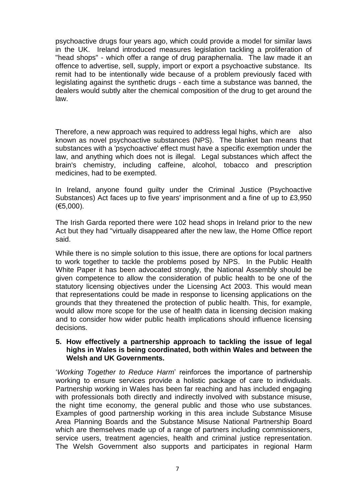psychoactive drugs four years ago, which could provide a model for similar laws in the UK. Ireland introduced measures legislation tackling a proliferation of "head shops" - which offer a range of drug paraphernalia. The law made it an offence to advertise, sell, supply, import or export a psychoactive substance. Its remit had to be intentionally wide because of a problem previously faced with legislating against the synthetic drugs - each time a substance was banned, the dealers would subtly alter the chemical composition of the drug to get around the law.

Therefore, a new approach was required to address legal highs, which are also known as novel psychoactive substances (NPS). The blanket ban means that substances with a 'psychoactive' effect must have a specific exemption under the law, and anything which does not is illegal. Legal substances which affect the brain's chemistry, including caffeine, alcohol, tobacco and prescription medicines, had to be exempted.

In Ireland, anyone found guilty under the Criminal Justice (Psychoactive Substances) Act faces up to five years' imprisonment and a fine of up to £3,950 (€5,000).

The Irish Garda reported there were 102 head shops in Ireland prior to the new Act but they had "virtually disappeared after the new law, the Home Office report said.

While there is no simple solution to this issue, there are options for local partners to work together to tackle the problems posed by NPS. In the Public Health White Paper it has been advocated strongly, the National Assembly should be given competence to allow the consideration of public health to be one of the statutory licensing objectives under the Licensing Act 2003. This would mean that representations could be made in response to licensing applications on the grounds that they threatened the protection of public health. This, for example, would allow more scope for the use of health data in licensing decision making and to consider how wider public health implications should influence licensing decisions.

#### **5. How effectively a partnership approach to tackling the issue of legal highs in Wales is being coordinated, both within Wales and between the Welsh and UK Governments.**

'*Working Together to Reduce Harm*' reinforces the importance of partnership working to ensure services provide a holistic package of care to individuals. Partnership working in Wales has been far reaching and has included engaging with professionals both directly and indirectly involved with substance misuse, the night time economy, the general public and those who use substances. Examples of good partnership working in this area include Substance Misuse Area Planning Boards and the Substance Misuse National Partnership Board which are themselves made up of a range of partners including commissioners, service users, treatment agencies, health and criminal justice representation. The Welsh Government also supports and participates in regional Harm